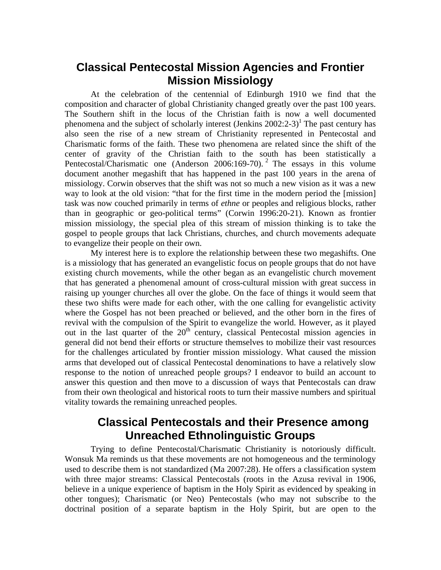## **Classical Pentecostal Mission Agencies and Frontier Mission Missiology**

At the celebration of the centennial of Edinburgh 1910 we find that the composition and character of global Christianity changed greatly over the past 100 years. The Southern shift in the locus of the Christian faith is now a well documented phenomena and the subject of scholarly interest (Jenkins  $2002:2-3$ )<sup>1</sup> The past century has also seen the rise of a new stream of Christianity represented in Pentecostal and Charismatic forms of the faith. These two phenomena are related since the shift of the center of gravity of the Christian faith to the south has been statistically a Pentecostal/Charismatic one (Anderson 2006:169-70).<sup>2</sup> The essays in this volume document another megashift that has happened in the past 100 years in the arena of missiology. Corwin observes that the shift was not so much a new vision as it was a new way to look at the old vision: "that for the first time in the modern period the [mission] task was now couched primarily in terms of *ethne* or peoples and religious blocks, rather than in geographic or geo-political terms" (Corwin 1996:20-21). Known as frontier mission missiology, the special plea of this stream of mission thinking is to take the gospel to people groups that lack Christians, churches, and church movements adequate to evangelize their people on their own.

My interest here is to explore the relationship between these two megashifts. One is a missiology that has generated an evangelistic focus on people groups that do not have existing church movements, while the other began as an evangelistic church movement that has generated a phenomenal amount of cross-cultural mission with great success in raising up younger churches all over the globe. On the face of things it would seem that these two shifts were made for each other, with the one calling for evangelistic activity where the Gospel has not been preached or believed, and the other born in the fires of revival with the compulsion of the Spirit to evangelize the world. However, as it played out in the last quarter of the  $20<sup>th</sup>$  century, classical Pentecostal mission agencies in general did not bend their efforts or structure themselves to mobilize their vast resources for the challenges articulated by frontier mission missiology. What caused the mission arms that developed out of classical Pentecostal denominations to have a relatively slow response to the notion of unreached people groups? I endeavor to build an account to answer this question and then move to a discussion of ways that Pentecostals can draw from their own theological and historical roots to turn their massive numbers and spiritual vitality towards the remaining unreached peoples.

# **Classical Pentecostals and their Presence among Unreached Ethnolinguistic Groups**

Trying to define Pentecostal/Charismatic Christianity is notoriously difficult. Wonsuk Ma reminds us that these movements are not homogeneous and the terminology used to describe them is not standardized (Ma 2007:28). He offers a classification system with three major streams: Classical Pentecostals (roots in the Azusa revival in 1906, believe in a unique experience of baptism in the Holy Spirit as evidenced by speaking in other tongues); Charismatic (or Neo) Pentecostals (who may not subscribe to the doctrinal position of a separate baptism in the Holy Spirit, but are open to the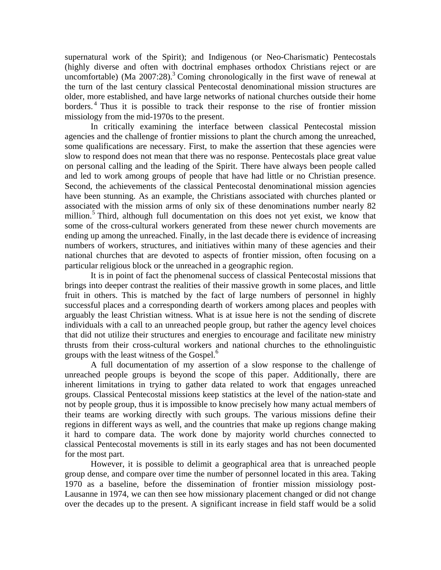supernatural work of the Spirit); and Indigenous (or Neo-Charismatic) Pentecostals (highly diverse and often with doctrinal emphases orthodox Christians reject or are uncomfortable) (Ma  $2007:28$ ).<sup>3</sup> Coming chronologically in the first wave of renewal at the turn of the last century classical Pentecostal denominational mission structures are older, more established, and have large networks of national churches outside their home borders.<sup>4</sup> Thus it is possible to track their response to the rise of frontier mission missiology from the mid-1970s to the present.

In critically examining the interface between classical Pentecostal mission agencies and the challenge of frontier missions to plant the church among the unreached, some qualifications are necessary. First, to make the assertion that these agencies were slow to respond does not mean that there was no response. Pentecostals place great value on personal calling and the leading of the Spirit. There have always been people called and led to work among groups of people that have had little or no Christian presence. Second, the achievements of the classical Pentecostal denominational mission agencies have been stunning. As an example, the Christians associated with churches planted or associated with the mission arms of only six of these denominations number nearly 82 million.<sup>5</sup> Third, although full documentation on this does not yet exist, we know that some of the cross-cultural workers generated from these newer church movements are ending up among the unreached. Finally, in the last decade there is evidence of increasing numbers of workers, structures, and initiatives within many of these agencies and their national churches that are devoted to aspects of frontier mission, often focusing on a particular religious block or the unreached in a geographic region.

It is in point of fact the phenomenal success of classical Pentecostal missions that brings into deeper contrast the realities of their massive growth in some places, and little fruit in others. This is matched by the fact of large numbers of personnel in highly successful places and a corresponding dearth of workers among places and peoples with arguably the least Christian witness. What is at issue here is not the sending of discrete individuals with a call to an unreached people group, but rather the agency level choices that did not utilize their structures and energies to encourage and facilitate new ministry thrusts from their cross-cultural workers and national churches to the ethnolinguistic groups with the least witness of the Gospel.<sup>6</sup>

A full documentation of my assertion of a slow response to the challenge of unreached people groups is beyond the scope of this paper. Additionally, there are inherent limitations in trying to gather data related to work that engages unreached groups. Classical Pentecostal missions keep statistics at the level of the nation-state and not by people group, thus it is impossible to know precisely how many actual members of their teams are working directly with such groups. The various missions define their regions in different ways as well, and the countries that make up regions change making it hard to compare data. The work done by majority world churches connected to classical Pentecostal movements is still in its early stages and has not been documented for the most part.

However, it is possible to delimit a geographical area that is unreached people group dense, and compare over time the number of personnel located in this area. Taking 1970 as a baseline, before the dissemination of frontier mission missiology post-Lausanne in 1974, we can then see how missionary placement changed or did not change over the decades up to the present. A significant increase in field staff would be a solid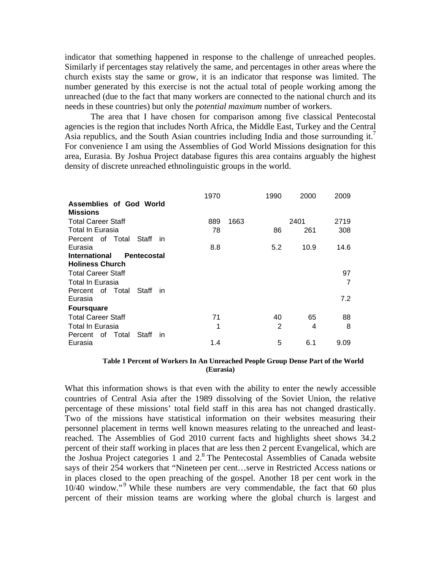indicator that something happened in response to the challenge of unreached peoples. Similarly if percentages stay relatively the same, and percentages in other areas where the church exists stay the same or grow, it is an indicator that response was limited. The number generated by this exercise is not the actual total of people working among the unreached (due to the fact that many workers are connected to the national church and its needs in these countries) but only the *potential maximum* number of workers.

The area that I have chosen for comparison among five classical Pentecostal agencies is the region that includes North Africa, the Middle East, Turkey and the Central Asia republics, and the South Asian countries including India and those surrounding it.<sup>7</sup> For convenience I am using the Assemblies of God World Missions designation for this area, Eurasia. By Joshua Project database figures this area contains arguably the highest density of discrete unreached ethnolinguistic groups in the world.

|                                            | 1970 |      | 1990         | 2000 | 2009 |
|--------------------------------------------|------|------|--------------|------|------|
| Assemblies of God World                    |      |      |              |      |      |
| <b>Missions</b>                            |      |      |              |      |      |
| <b>Total Career Staff</b>                  | 889  | 1663 |              | 2401 | 2719 |
| Total In Eurasia                           | 78   |      | 86           | 261  | 308  |
| Percent of Total<br>Staff<br>- in          |      |      |              |      |      |
| Eurasia                                    | 8.8  |      | 5.2          | 10.9 | 14.6 |
| <b>International</b><br><b>Pentecostal</b> |      |      |              |      |      |
| <b>Holiness Church</b>                     |      |      |              |      |      |
| <b>Total Career Staff</b>                  |      |      |              |      | 97   |
| Total In Eurasia                           |      |      |              |      | 7    |
| Percent of Total<br>Staff<br>- in          |      |      |              |      |      |
| Eurasia                                    |      |      |              |      | 7.2  |
| <b>Foursquare</b>                          |      |      |              |      |      |
| <b>Total Career Staff</b>                  | 71   |      | 40           | 65   | 88   |
| Total In Eurasia                           | 1    |      | $\mathbf{2}$ | 4    | 8    |
| Percent of Total<br>Staff<br><i>in</i>     |      |      |              |      |      |
| Eurasia                                    | 1.4  |      | 5            | 6.1  | 9.09 |

#### **Table 1 Percent of Workers In An Unreached People Group Dense Part of the World (Eurasia)**

What this information shows is that even with the ability to enter the newly accessible countries of Central Asia after the 1989 dissolving of the Soviet Union, the relative percentage of these missions' total field staff in this area has not changed drastically. Two of the missions have statistical information on their websites measuring their personnel placement in terms well known measures relating to the unreached and leastreached. The Assemblies of God 2010 current facts and highlights sheet shows 34.2 percent of their staff working in places that are less then 2 percent Evangelical, which are the Joshua Project categories 1 and 2.8 The Pentecostal Assemblies of Canada website says of their 254 workers that "Nineteen per cent…serve in Restricted Access nations or in places closed to the open preaching of the gospel. Another 18 per cent work in the 10/40 window."<sup>9</sup> While these numbers are very commendable, the fact that 60 plus percent of their mission teams are working where the global church is largest and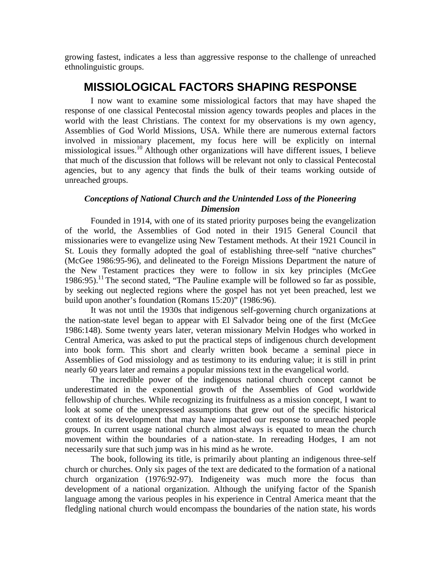growing fastest, indicates a less than aggressive response to the challenge of unreached ethnolinguistic groups.

# **MISSIOLOGICAL FACTORS SHAPING RESPONSE**

I now want to examine some missiological factors that may have shaped the response of one classical Pentecostal mission agency towards peoples and places in the world with the least Christians. The context for my observations is my own agency, Assemblies of God World Missions, USA. While there are numerous external factors involved in missionary placement, my focus here will be explicitly on internal missiological issues.10 Although other organizations will have different issues, I believe that much of the discussion that follows will be relevant not only to classical Pentecostal agencies, but to any agency that finds the bulk of their teams working outside of unreached groups.

## *Conceptions of National Church and the Unintended Loss of the Pioneering Dimension*

Founded in 1914, with one of its stated priority purposes being the evangelization of the world, the Assemblies of God noted in their 1915 General Council that missionaries were to evangelize using New Testament methods. At their 1921 Council in St. Louis they formally adopted the goal of establishing three-self "native churches" (McGee 1986:95-96), and delineated to the Foreign Missions Department the nature of the New Testament practices they were to follow in six key principles (McGee  $1986:95$ .<sup>11</sup> The second stated, "The Pauline example will be followed so far as possible, by seeking out neglected regions where the gospel has not yet been preached, lest we build upon another's foundation (Romans 15:20)" (1986:96).

It was not until the 1930s that indigenous self-governing church organizations at the nation-state level began to appear with El Salvador being one of the first (McGee 1986:148). Some twenty years later, veteran missionary Melvin Hodges who worked in Central America, was asked to put the practical steps of indigenous church development into book form. This short and clearly written book became a seminal piece in Assemblies of God missiology and as testimony to its enduring value; it is still in print nearly 60 years later and remains a popular missions text in the evangelical world.

The incredible power of the indigenous national church concept cannot be underestimated in the exponential growth of the Assemblies of God worldwide fellowship of churches. While recognizing its fruitfulness as a mission concept, I want to look at some of the unexpressed assumptions that grew out of the specific historical context of its development that may have impacted our response to unreached people groups. In current usage national church almost always is equated to mean the church movement within the boundaries of a nation-state. In rereading Hodges, I am not necessarily sure that such jump was in his mind as he wrote.

The book, following its title, is primarily about planting an indigenous three-self church or churches. Only six pages of the text are dedicated to the formation of a national church organization (1976:92-97). Indigeneity was much more the focus than development of a national organization. Although the unifying factor of the Spanish language among the various peoples in his experience in Central America meant that the fledgling national church would encompass the boundaries of the nation state, his words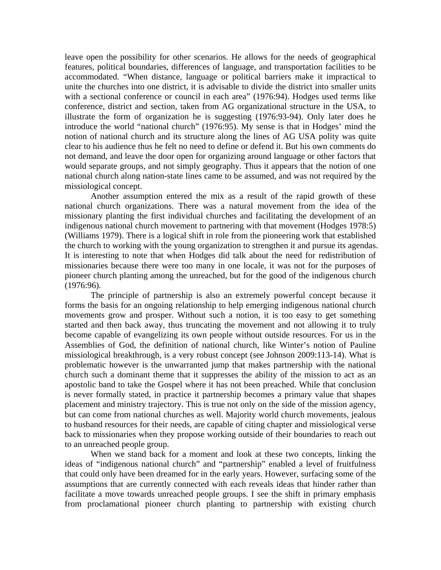leave open the possibility for other scenarios. He allows for the needs of geographical features, political boundaries, differences of language, and transportation facilities to be accommodated. "When distance, language or political barriers make it impractical to unite the churches into one district, it is advisable to divide the district into smaller units with a sectional conference or council in each area" (1976:94). Hodges used terms like conference, district and section, taken from AG organizational structure in the USA, to illustrate the form of organization he is suggesting (1976:93-94). Only later does he introduce the world "national church" (1976:95). My sense is that in Hodges' mind the notion of national church and its structure along the lines of AG USA polity was quite clear to his audience thus he felt no need to define or defend it. But his own comments do not demand, and leave the door open for organizing around language or other factors that would separate groups, and not simply geography. Thus it appears that the notion of one national church along nation-state lines came to be assumed, and was not required by the missiological concept.

Another assumption entered the mix as a result of the rapid growth of these national church organizations. There was a natural movement from the idea of the missionary planting the first individual churches and facilitating the development of an indigenous national church movement to partnering with that movement (Hodges 1978:5) (Williams 1979). There is a logical shift in role from the pioneering work that established the church to working with the young organization to strengthen it and pursue its agendas. It is interesting to note that when Hodges did talk about the need for redistribution of missionaries because there were too many in one locale, it was not for the purposes of pioneer church planting among the unreached, but for the good of the indigenous church (1976:96).

The principle of partnership is also an extremely powerful concept because it forms the basis for an ongoing relationship to help emerging indigenous national church movements grow and prosper. Without such a notion, it is too easy to get something started and then back away, thus truncating the movement and not allowing it to truly become capable of evangelizing its own people without outside resources. For us in the Assemblies of God, the definition of national church, like Winter's notion of Pauline missiological breakthrough, is a very robust concept (see Johnson 2009:113-14). What is problematic however is the unwarranted jump that makes partnership with the national church such a dominant theme that it suppresses the ability of the mission to act as an apostolic band to take the Gospel where it has not been preached. While that conclusion is never formally stated, in practice it partnership becomes a primary value that shapes placement and ministry trajectory. This is true not only on the side of the mission agency, but can come from national churches as well. Majority world church movements, jealous to husband resources for their needs, are capable of citing chapter and missiological verse back to missionaries when they propose working outside of their boundaries to reach out to an unreached people group.

When we stand back for a moment and look at these two concepts, linking the ideas of "indigenous national church" and "partnership" enabled a level of fruitfulness that could only have been dreamed for in the early years. However, surfacing some of the assumptions that are currently connected with each reveals ideas that hinder rather than facilitate a move towards unreached people groups. I see the shift in primary emphasis from proclamational pioneer church planting to partnership with existing church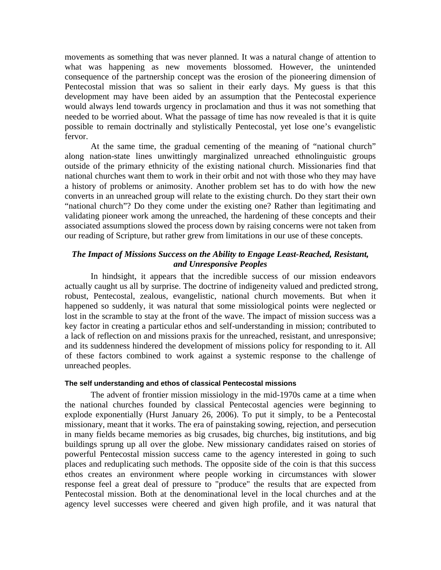movements as something that was never planned. It was a natural change of attention to what was happening as new movements blossomed. However, the unintended consequence of the partnership concept was the erosion of the pioneering dimension of Pentecostal mission that was so salient in their early days. My guess is that this development may have been aided by an assumption that the Pentecostal experience would always lend towards urgency in proclamation and thus it was not something that needed to be worried about. What the passage of time has now revealed is that it is quite possible to remain doctrinally and stylistically Pentecostal, yet lose one's evangelistic fervor.

At the same time, the gradual cementing of the meaning of "national church" along nation-state lines unwittingly marginalized unreached ethnolinguistic groups outside of the primary ethnicity of the existing national church. Missionaries find that national churches want them to work in their orbit and not with those who they may have a history of problems or animosity. Another problem set has to do with how the new converts in an unreached group will relate to the existing church. Do they start their own "national church"? Do they come under the existing one? Rather than legitimating and validating pioneer work among the unreached, the hardening of these concepts and their associated assumptions slowed the process down by raising concerns were not taken from our reading of Scripture, but rather grew from limitations in our use of these concepts.

## *The Impact of Missions Success on the Ability to Engage Least-Reached, Resistant, and Unresponsive Peoples*

In hindsight, it appears that the incredible success of our mission endeavors actually caught us all by surprise. The doctrine of indigeneity valued and predicted strong, robust, Pentecostal, zealous, evangelistic, national church movements. But when it happened so suddenly, it was natural that some missiological points were neglected or lost in the scramble to stay at the front of the wave. The impact of mission success was a key factor in creating a particular ethos and self-understanding in mission; contributed to a lack of reflection on and missions praxis for the unreached, resistant, and unresponsive; and its suddenness hindered the development of missions policy for responding to it. All of these factors combined to work against a systemic response to the challenge of unreached peoples.

### **The self understanding and ethos of classical Pentecostal missions**

The advent of frontier mission missiology in the mid-1970s came at a time when the national churches founded by classical Pentecostal agencies were beginning to explode exponentially (Hurst January 26, 2006). To put it simply, to be a Pentecostal missionary, meant that it works. The era of painstaking sowing, rejection, and persecution in many fields became memories as big crusades, big churches, big institutions, and big buildings sprung up all over the globe. New missionary candidates raised on stories of powerful Pentecostal mission success came to the agency interested in going to such places and reduplicating such methods. The opposite side of the coin is that this success ethos creates an environment where people working in circumstances with slower response feel a great deal of pressure to "produce" the results that are expected from Pentecostal mission. Both at the denominational level in the local churches and at the agency level successes were cheered and given high profile, and it was natural that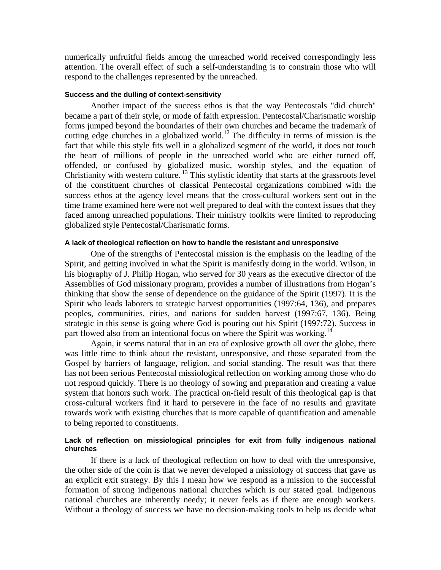numerically unfruitful fields among the unreached world received correspondingly less attention. The overall effect of such a self-understanding is to constrain those who will respond to the challenges represented by the unreached.

#### **Success and the dulling of context-sensitivity**

Another impact of the success ethos is that the way Pentecostals "did church" became a part of their style, or mode of faith expression. Pentecostal/Charismatic worship forms jumped beyond the boundaries of their own churches and became the trademark of cutting edge churches in a globalized world.<sup>12</sup> The difficulty in terms of mission is the fact that while this style fits well in a globalized segment of the world, it does not touch the heart of millions of people in the unreached world who are either turned off, offended, or confused by globalized music, worship styles, and the equation of Christianity with western culture. 13 This stylistic identity that starts at the grassroots level of the constituent churches of classical Pentecostal organizations combined with the success ethos at the agency level means that the cross-cultural workers sent out in the time frame examined here were not well prepared to deal with the context issues that they faced among unreached populations. Their ministry toolkits were limited to reproducing globalized style Pentecostal/Charismatic forms.

#### **A lack of theological reflection on how to handle the resistant and unresponsive**

One of the strengths of Pentecostal mission is the emphasis on the leading of the Spirit, and getting involved in what the Spirit is manifestly doing in the world. Wilson, in his biography of J. Philip Hogan, who served for 30 years as the executive director of the Assemblies of God missionary program, provides a number of illustrations from Hogan's thinking that show the sense of dependence on the guidance of the Spirit (1997). It is the Spirit who leads laborers to strategic harvest opportunities (1997:64, 136), and prepares peoples, communities, cities, and nations for sudden harvest (1997:67, 136). Being strategic in this sense is going where God is pouring out his Spirit (1997:72). Success in part flowed also from an intentional focus on where the Spirit was working.<sup>14</sup>

Again, it seems natural that in an era of explosive growth all over the globe, there was little time to think about the resistant, unresponsive, and those separated from the Gospel by barriers of language, religion, and social standing. The result was that there has not been serious Pentecostal missiological reflection on working among those who do not respond quickly. There is no theology of sowing and preparation and creating a value system that honors such work. The practical on-field result of this theological gap is that cross-cultural workers find it hard to persevere in the face of no results and gravitate towards work with existing churches that is more capable of quantification and amenable to being reported to constituents.

### **Lack of reflection on missiological principles for exit from fully indigenous national churches**

If there is a lack of theological reflection on how to deal with the unresponsive, the other side of the coin is that we never developed a missiology of success that gave us an explicit exit strategy. By this I mean how we respond as a mission to the successful formation of strong indigenous national churches which is our stated goal. Indigenous national churches are inherently needy; it never feels as if there are enough workers. Without a theology of success we have no decision-making tools to help us decide what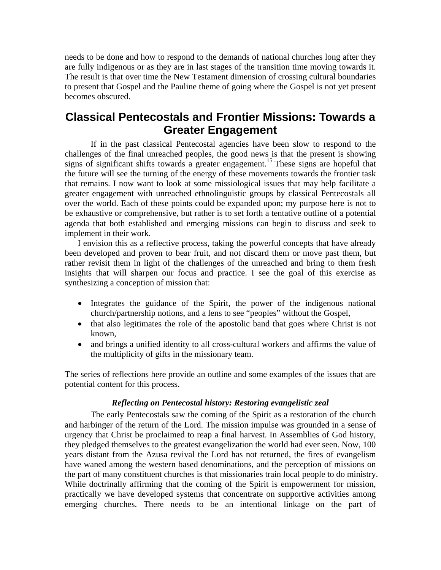needs to be done and how to respond to the demands of national churches long after they are fully indigenous or as they are in last stages of the transition time moving towards it. The result is that over time the New Testament dimension of crossing cultural boundaries to present that Gospel and the Pauline theme of going where the Gospel is not yet present becomes obscured.

# **Classical Pentecostals and Frontier Missions: Towards a Greater Engagement**

If in the past classical Pentecostal agencies have been slow to respond to the challenges of the final unreached peoples, the good news is that the present is showing signs of significant shifts towards a greater engagement.<sup>15</sup> These signs are hopeful that the future will see the turning of the energy of these movements towards the frontier task that remains. I now want to look at some missiological issues that may help facilitate a greater engagement with unreached ethnolinguistic groups by classical Pentecostals all over the world. Each of these points could be expanded upon; my purpose here is not to be exhaustive or comprehensive, but rather is to set forth a tentative outline of a potential agenda that both established and emerging missions can begin to discuss and seek to implement in their work.

I envision this as a reflective process, taking the powerful concepts that have already been developed and proven to bear fruit, and not discard them or move past them, but rather revisit them in light of the challenges of the unreached and bring to them fresh insights that will sharpen our focus and practice. I see the goal of this exercise as synthesizing a conception of mission that:

- Integrates the guidance of the Spirit, the power of the indigenous national church/partnership notions, and a lens to see "peoples" without the Gospel,
- that also legitimates the role of the apostolic band that goes where Christ is not known,
- and brings a unified identity to all cross-cultural workers and affirms the value of the multiplicity of gifts in the missionary team.

The series of reflections here provide an outline and some examples of the issues that are potential content for this process.

## *Reflecting on Pentecostal history: Restoring evangelistic zeal*

 The early Pentecostals saw the coming of the Spirit as a restoration of the church and harbinger of the return of the Lord. The mission impulse was grounded in a sense of urgency that Christ be proclaimed to reap a final harvest. In Assemblies of God history, they pledged themselves to the greatest evangelization the world had ever seen. Now, 100 years distant from the Azusa revival the Lord has not returned, the fires of evangelism have waned among the western based denominations, and the perception of missions on the part of many constituent churches is that missionaries train local people to do ministry. While doctrinally affirming that the coming of the Spirit is empowerment for mission, practically we have developed systems that concentrate on supportive activities among emerging churches. There needs to be an intentional linkage on the part of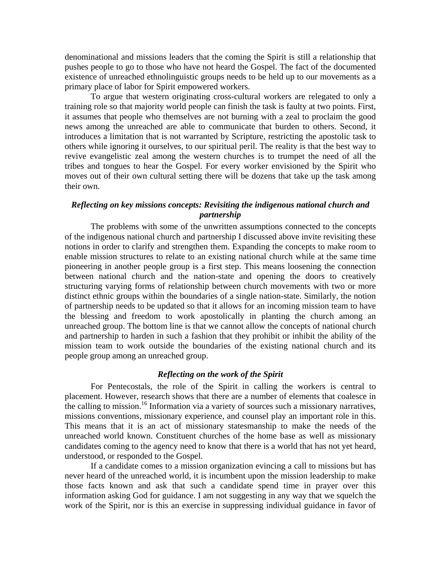denominational and missions leaders that the coming the Spirit is still a relationship that pushes people to go to those who have not heard the Gospel. The fact of the documented existence of unreached ethnolinguistic groups needs to be held up to our movements as a primary place of labor for Spirit empowered workers.

 To argue that western originating cross-cultural workers are relegated to only a training role so that majority world people can finish the task is faulty at two points. First, it assumes that people who themselves are not burning with a zeal to proclaim the good news among the unreached are able to communicate that burden to others. Second, it introduces a limitation that is not warranted by Scripture, restricting the apostolic task to others while ignoring it ourselves, to our spiritual peril. The reality is that the best way to revive evangelistic zeal among the western churches is to trumpet the need of all the tribes and tongues to hear the Gospel. For every worker envisioned by the Spirit who moves out of their own cultural setting there will be dozens that take up the task among their own.

## *Reflecting on key missions concepts: Revisiting the indigenous national church and partnership*

The problems with some of the unwritten assumptions connected to the concepts of the indigenous national church and partnership I discussed above invite revisiting these notions in order to clarify and strengthen them. Expanding the concepts to make room to enable mission structures to relate to an existing national church while at the same time pioneering in another people group is a first step. This means loosening the connection between national church and the nation-state and opening the doors to creatively structuring varying forms of relationship between church movements with two or more distinct ethnic groups within the boundaries of a single nation-state. Similarly, the notion of partnership needs to be updated so that it allows for an incoming mission team to have the blessing and freedom to work apostolically in planting the church among an unreached group. The bottom line is that we cannot allow the concepts of national church and partnership to harden in such a fashion that they prohibit or inhibit the ability of the mission team to work outside the boundaries of the existing national church and its people group among an unreached group.

#### *Reflecting on the work of the Spirit*

For Pentecostals, the role of the Spirit in calling the workers is central to placement. However, research shows that there are a number of elements that coalesce in the calling to mission.16 Information via a variety of sources such a missionary narratives, missions conventions, missionary experience, and counsel play an important role in this. This means that it is an act of missionary statesmanship to make the needs of the unreached world known. Constituent churches of the home base as well as missionary candidates coming to the agency need to know that there is a world that has not yet heard, understood, or responded to the Gospel.

If a candidate comes to a mission organization evincing a call to missions but has never heard of the unreached world, it is incumbent upon the mission leadership to make those facts known and ask that such a candidate spend time in prayer over this information asking God for guidance. I am not suggesting in any way that we squelch the work of the Spirit, nor is this an exercise in suppressing individual guidance in favor of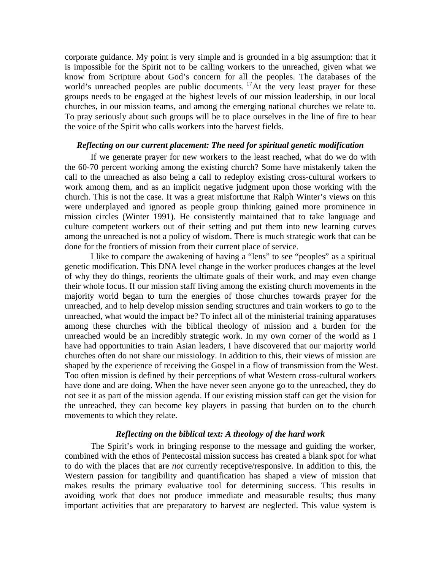corporate guidance. My point is very simple and is grounded in a big assumption: that it is impossible for the Spirit not to be calling workers to the unreached, given what we know from Scripture about God's concern for all the peoples. The databases of the world's unreached peoples are public documents. <sup>17</sup>At the very least prayer for these groups needs to be engaged at the highest levels of our mission leadership, in our local churches, in our mission teams, and among the emerging national churches we relate to. To pray seriously about such groups will be to place ourselves in the line of fire to hear the voice of the Spirit who calls workers into the harvest fields.

#### *Reflecting on our current placement: The need for spiritual genetic modification*

If we generate prayer for new workers to the least reached, what do we do with the 60-70 percent working among the existing church? Some have mistakenly taken the call to the unreached as also being a call to redeploy existing cross-cultural workers to work among them, and as an implicit negative judgment upon those working with the church. This is not the case. It was a great misfortune that Ralph Winter's views on this were underplayed and ignored as people group thinking gained more prominence in mission circles (Winter 1991). He consistently maintained that to take language and culture competent workers out of their setting and put them into new learning curves among the unreached is not a policy of wisdom. There is much strategic work that can be done for the frontiers of mission from their current place of service.

I like to compare the awakening of having a "lens" to see "peoples" as a spiritual genetic modification. This DNA level change in the worker produces changes at the level of why they do things, reorients the ultimate goals of their work, and may even change their whole focus. If our mission staff living among the existing church movements in the majority world began to turn the energies of those churches towards prayer for the unreached, and to help develop mission sending structures and train workers to go to the unreached, what would the impact be? To infect all of the ministerial training apparatuses among these churches with the biblical theology of mission and a burden for the unreached would be an incredibly strategic work. In my own corner of the world as I have had opportunities to train Asian leaders, I have discovered that our majority world churches often do not share our missiology. In addition to this, their views of mission are shaped by the experience of receiving the Gospel in a flow of transmission from the West. Too often mission is defined by their perceptions of what Western cross-cultural workers have done and are doing. When the have never seen anyone go to the unreached, they do not see it as part of the mission agenda. If our existing mission staff can get the vision for the unreached, they can become key players in passing that burden on to the church movements to which they relate.

### *Reflecting on the biblical text: A theology of the hard work*

The Spirit's work in bringing response to the message and guiding the worker, combined with the ethos of Pentecostal mission success has created a blank spot for what to do with the places that are *not* currently receptive/responsive. In addition to this, the Western passion for tangibility and quantification has shaped a view of mission that makes results the primary evaluative tool for determining success. This results in avoiding work that does not produce immediate and measurable results; thus many important activities that are preparatory to harvest are neglected. This value system is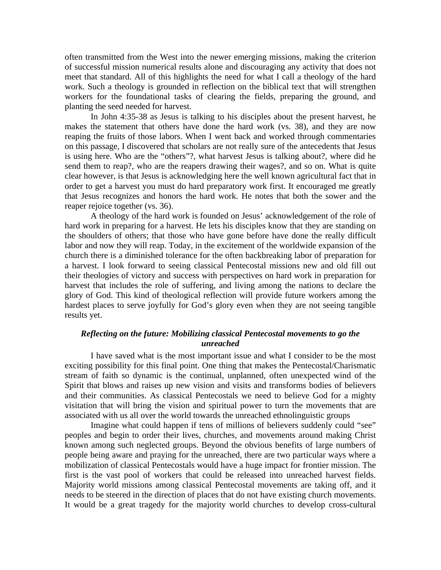often transmitted from the West into the newer emerging missions, making the criterion of successful mission numerical results alone and discouraging any activity that does not meet that standard. All of this highlights the need for what I call a theology of the hard work. Such a theology is grounded in reflection on the biblical text that will strengthen workers for the foundational tasks of clearing the fields, preparing the ground, and planting the seed needed for harvest.

In John 4:35-38 as Jesus is talking to his disciples about the present harvest, he makes the statement that others have done the hard work (vs. 38), and they are now reaping the fruits of those labors. When I went back and worked through commentaries on this passage, I discovered that scholars are not really sure of the antecedents that Jesus is using here. Who are the "others"?, what harvest Jesus is talking about?, where did he send them to reap?, who are the reapers drawing their wages?, and so on. What is quite clear however, is that Jesus is acknowledging here the well known agricultural fact that in order to get a harvest you must do hard preparatory work first. It encouraged me greatly that Jesus recognizes and honors the hard work. He notes that both the sower and the reaper rejoice together (vs. 36).

A theology of the hard work is founded on Jesus' acknowledgement of the role of hard work in preparing for a harvest. He lets his disciples know that they are standing on the shoulders of others; that those who have gone before have done the really difficult labor and now they will reap. Today, in the excitement of the worldwide expansion of the church there is a diminished tolerance for the often backbreaking labor of preparation for a harvest. I look forward to seeing classical Pentecostal missions new and old fill out their theologies of victory and success with perspectives on hard work in preparation for harvest that includes the role of suffering, and living among the nations to declare the glory of God. This kind of theological reflection will provide future workers among the hardest places to serve joyfully for God's glory even when they are not seeing tangible results yet.

### *Reflecting on the future: Mobilizing classical Pentecostal movements to go the unreached*

 I have saved what is the most important issue and what I consider to be the most exciting possibility for this final point. One thing that makes the Pentecostal/Charismatic stream of faith so dynamic is the continual, unplanned, often unexpected wind of the Spirit that blows and raises up new vision and visits and transforms bodies of believers and their communities. As classical Pentecostals we need to believe God for a mighty visitation that will bring the vision and spiritual power to turn the movements that are associated with us all over the world towards the unreached ethnolinguistic groups

Imagine what could happen if tens of millions of believers suddenly could "see" peoples and begin to order their lives, churches, and movements around making Christ known among such neglected groups. Beyond the obvious benefits of large numbers of people being aware and praying for the unreached, there are two particular ways where a mobilization of classical Pentecostals would have a huge impact for frontier mission. The first is the vast pool of workers that could be released into unreached harvest fields. Majority world missions among classical Pentecostal movements are taking off, and it needs to be steered in the direction of places that do not have existing church movements. It would be a great tragedy for the majority world churches to develop cross-cultural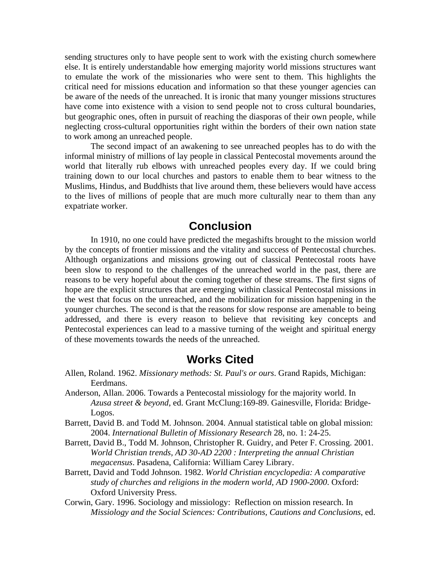sending structures only to have people sent to work with the existing church somewhere else. It is entirely understandable how emerging majority world missions structures want to emulate the work of the missionaries who were sent to them. This highlights the critical need for missions education and information so that these younger agencies can be aware of the needs of the unreached. It is ironic that many younger missions structures have come into existence with a vision to send people not to cross cultural boundaries, but geographic ones, often in pursuit of reaching the diasporas of their own people, while neglecting cross-cultural opportunities right within the borders of their own nation state to work among an unreached people.

The second impact of an awakening to see unreached peoples has to do with the informal ministry of millions of lay people in classical Pentecostal movements around the world that literally rub elbows with unreached peoples every day. If we could bring training down to our local churches and pastors to enable them to bear witness to the Muslims, Hindus, and Buddhists that live around them, these believers would have access to the lives of millions of people that are much more culturally near to them than any expatriate worker.

## **Conclusion**

In 1910, no one could have predicted the megashifts brought to the mission world by the concepts of frontier missions and the vitality and success of Pentecostal churches. Although organizations and missions growing out of classical Pentecostal roots have been slow to respond to the challenges of the unreached world in the past, there are reasons to be very hopeful about the coming together of these streams. The first signs of hope are the explicit structures that are emerging within classical Pentecostal missions in the west that focus on the unreached, and the mobilization for mission happening in the younger churches. The second is that the reasons for slow response are amenable to being addressed, and there is every reason to believe that revisiting key concepts and Pentecostal experiences can lead to a massive turning of the weight and spiritual energy of these movements towards the needs of the unreached.

## **Works Cited**

- Allen, Roland. 1962. *Missionary methods: St. Paul's or ours*. Grand Rapids, Michigan: Eerdmans.
- Anderson, Allan. 2006. Towards a Pentecostal missiology for the majority world. In *Azusa street & beyond*, ed. Grant McClung:169-89. Gainesville, Florida: Bridge-Logos.
- Barrett, David B. and Todd M. Johnson. 2004. Annual statistical table on global mission: 2004. *International Bulletin of Missionary Research* 28, no. 1: 24-25.
- Barrett, David B., Todd M. Johnson, Christopher R. Guidry, and Peter F. Crossing. 2001. *World Christian trends, AD 30-AD 2200 : Interpreting the annual Christian megacensus*. Pasadena, California: William Carey Library.
- Barrett, David and Todd Johnson. 1982. *World Christian encyclopedia: A comparative study of churches and religions in the modern world, AD 1900-2000*. Oxford: Oxford University Press.
- Corwin, Gary. 1996. Sociology and missiology: Reflection on mission research. In *Missiology and the Social Sciences: Contributions, Cautions and Conclusions*, ed.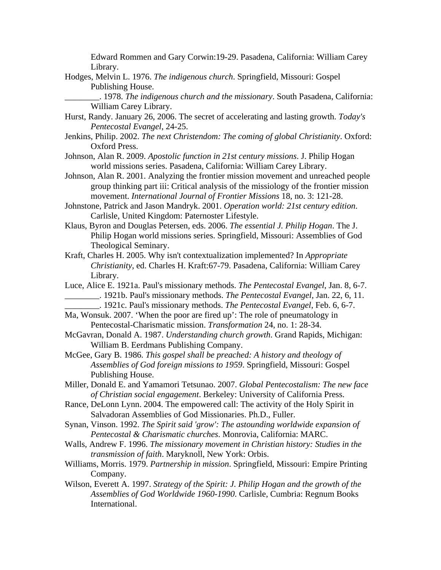Edward Rommen and Gary Corwin:19-29. Pasadena, California: William Carey Library.

Hodges, Melvin L. 1976. *The indigenous church*. Springfield, Missouri: Gospel Publishing House.

\_\_\_\_\_\_\_\_. 1978. *The indigenous church and the missionary*. South Pasadena, California: William Carey Library.

- Hurst, Randy. January 26, 2006. The secret of accelerating and lasting growth. *Today's Pentecostal Evangel*, 24-25.
- Jenkins, Philip. 2002. *The next Christendom: The coming of global Christianity*. Oxford: Oxford Press.
- Johnson, Alan R. 2009. *Apostolic function in 21st century missions*. J. Philip Hogan world missions series. Pasadena, California: William Carey Library.
- Johnson, Alan R. 2001. Analyzing the frontier mission movement and unreached people group thinking part iii: Critical analysis of the missiology of the frontier mission movement. *International Journal of Frontier Missions* 18, no. 3: 121-28.
- Johnstone, Patrick and Jason Mandryk. 2001. *Operation world: 21st century edition*. Carlisle, United Kingdom: Paternoster Lifestyle.
- Klaus, Byron and Douglas Petersen, eds. 2006. *The essential J. Philip Hogan*. The J. Philip Hogan world missions series. Springfield, Missouri: Assemblies of God Theological Seminary.
- Kraft, Charles H. 2005. Why isn't contextualization implemented? In *Appropriate Christianity*, ed. Charles H. Kraft:67-79. Pasadena, California: William Carey Library.
- Luce, Alice E. 1921a. Paul's missionary methods. *The Pentecostal Evangel*, Jan. 8, 6-7. \_\_\_\_\_\_\_\_. 1921b. Paul's missionary methods. *The Pentecostal Evangel*, Jan. 22, 6, 11.
	- \_\_\_\_\_\_\_\_. 1921c. Paul's missionary methods. *The Pentecostal Evangel*, Feb. 6, 6-7.
- Ma, Wonsuk. 2007. 'When the poor are fired up': The role of pneumatology in Pentecostal-Charismatic mission. *Transformation* 24, no. 1: 28-34.
- McGavran, Donald A. 1987. *Understanding church growth*. Grand Rapids, Michigan: William B. Eerdmans Publishing Company.
- McGee, Gary B. 1986. *This gospel shall be preached: A history and theology of Assemblies of God foreign missions to 1959*. Springfield, Missouri: Gospel Publishing House.
- Miller, Donald E. and Yamamori Tetsunao. 2007. *Global Pentecostalism: The new face of Christian social engagement*. Berkeley: University of California Press.
- Rance, DeLonn Lynn. 2004. The empowered call: The activity of the Holy Spirit in Salvadoran Assemblies of God Missionaries. Ph.D., Fuller.
- Synan, Vinson. 1992. *The Spirit said 'grow': The astounding worldwide expansion of Pentecostal & Charismatic churches*. Monrovia, California: MARC.
- Walls, Andrew F. 1996. *The missionary movement in Christian history: Studies in the transmission of faith*. Maryknoll, New York: Orbis.
- Williams, Morris. 1979. *Partnership in mission*. Springfield, Missouri: Empire Printing Company.
- Wilson, Everett A. 1997. *Strategy of the Spirit: J. Philip Hogan and the growth of the Assemblies of God Worldwide 1960-1990*. Carlisle, Cumbria: Regnum Books International.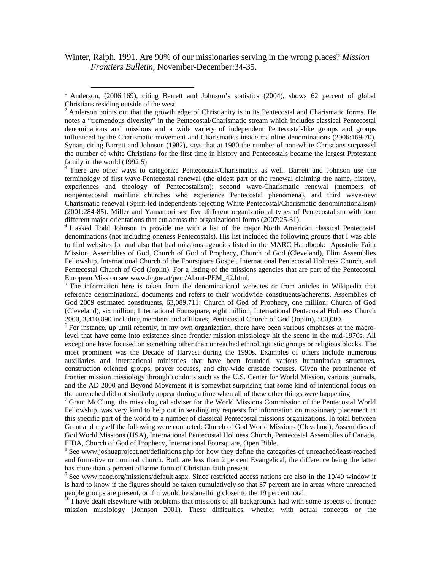Winter, Ralph. 1991. Are 90% of our missionaries serving in the wrong places? *Mission Frontiers Bulletin*, November-December:34-35.

<sup>3</sup> There are other ways to categorize Pentecostals/Charismatics as well. Barrett and Johnson use the terminology of first wave-Pentecostal renewal (the oldest part of the renewal claiming the name, history, experiences and theology of Pentecostalism); second wave-Charismatic renewal (members of nonpentecostal mainline churches who experience Pentecostal phenomena), and third wave-new Charismatic renewal (Spirit-led independents rejecting White Pentecostal/Charismatic denominationalism) (2001:284-85). Miller and Yamamori see five different organizational types of Pentecostalism with four different major orientations that cut across the organizational forms (2007:25-31).

<sup>4</sup> I asked Todd Johnson to provide me with a list of the major North American classical Pentecostal denominations (not including oneness Pentecostals). His list included the following groups that I was able to find websites for and also that had missions agencies listed in the MARC Handbook: Apostolic Faith Mission, Assemblies of God, Church of God of Prophecy, Church of God (Cleveland), Elim Assemblies Fellowship, International Church of the Foursquare Gospel, International Pentecostal Holiness Church, and Pentecostal Church of God (Joplin). For a listing of the missions agencies that are part of the Pentecostal European Mission see www.fcgoe.at/pem/About-PEM\_42.html.

<sup>5</sup> The information here is taken from the denominational websites or from articles in Wikipedia that reference denominational documents and refers to their worldwide constituents/adherents. Assemblies of God 2009 estimated constituents, 63,089,711; Church of God of Prophecy, one million; Church of God (Cleveland), six million; International Foursquare, eight million; International Pentecostal Holiness Church 2000, 3,410,890 including members and affiliates; Pentecostal Church of God (Joplin), 500,000.

<sup>6</sup> For instance, up until recently, in my own organization, there have been various emphases at the macrolevel that have come into existence since frontier mission missiology hit the scene in the mid-1970s. All except one have focused on something other than unreached ethnolinguistic groups or religious blocks. The most prominent was the Decade of Harvest during the 1990s. Examples of others include numerous auxiliaries and international ministries that have been founded, various humanitarian structures, construction oriented groups, prayer focuses, and city-wide crusade focuses. Given the prominence of frontier mission missiology through conduits such as the U.S. Center for World Mission, various journals, and the AD 2000 and Beyond Movement it is somewhat surprising that some kind of intentional focus on the unreached did not similarly appear during a time when all of these other things were happening. 7

<sup>7</sup> Grant McClung, the missiological adviser for the World Missions Commission of the Pentecostal World Fellowship, was very kind to help out in sending my requests for information on missionary placement in this specific part of the world to a number of classical Pentecostal missions organizations. In total between Grant and myself the following were contacted: Church of God World Missions (Cleveland), Assemblies of God World Missions (USA), International Pentecostal Holiness Church, Pentecostal Assemblies of Canada, FIDA, Church of God of Prophecy, International Foursquare, Open Bible.

<sup>8</sup> See www.joshuaproject.net/definitions.php for how they define the categories of unreached/least-reached and formative or nominal church. Both are less than 2 percent Evangelical, the difference being the latter has more than 5 percent of some form of Christian faith present.

<sup>9</sup> See www.paoc.org/missions/default.aspx. Since restricted access nations are also in the 10/40 window it is hard to know if the figures should be taken cumulatively so that 37 percent are in areas where unreached people groups are present, or if it would be something closer to the 19 percent total.

 $10$  I have dealt elsewhere with problems that missions of all backgrounds had with some aspects of frontier mission missiology (Johnson 2001). These difficulties, whether with actual concepts or the

<sup>&</sup>lt;sup>1</sup> Anderson, (2006:169), citing Barrett and Johnson's statistics (2004), shows 62 percent of global Christians residing outside of the west.

 $2$  Anderson points out that the growth edge of Christianity is in its Pentecostal and Charismatic forms. He notes a "tremendous diversity" in the Pentecostal/Charismatic stream which includes classical Pentecostal denominations and missions and a wide variety of independent Pentecostal-like groups and groups influenced by the Charismatic movement and Charismatics inside mainline denominations (2006:169-70). Synan, citing Barrett and Johnson (1982), says that at 1980 the number of non-white Christians surpassed the number of white Christians for the first time in history and Pentecostals became the largest Protestant family in the world (1992:5)